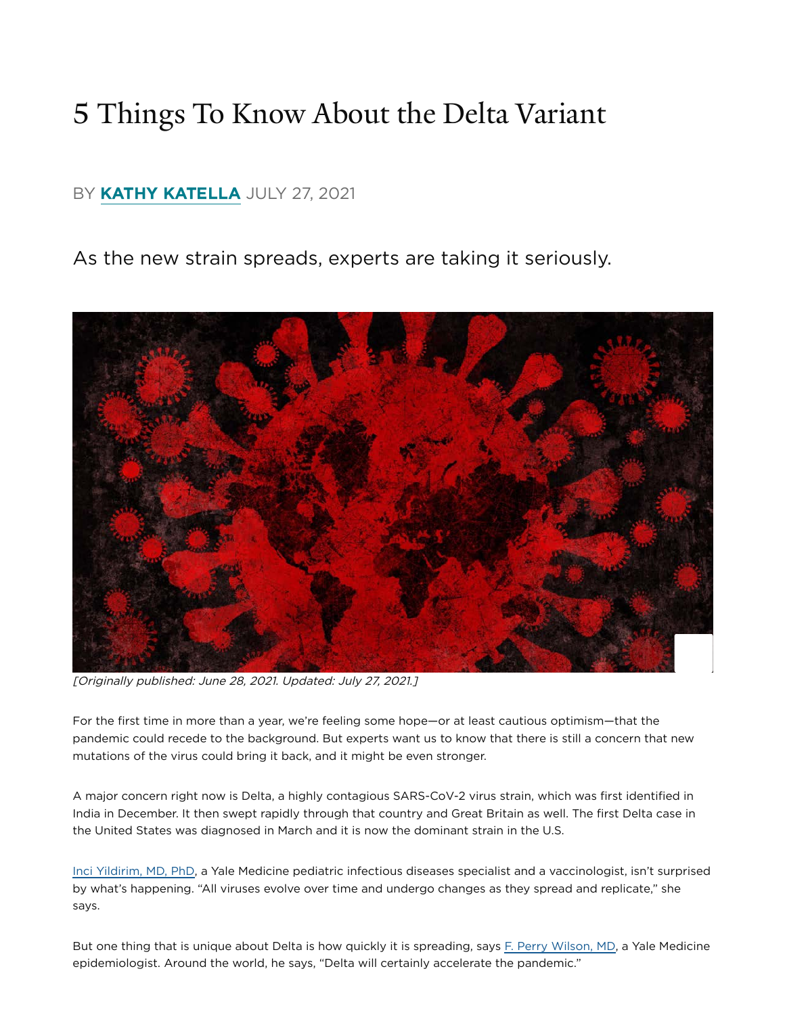## 5 Things To Know About the Delta Variant

#### BY KATHY KATELLA JULY 27, 2021

As the new strain spreads, experts are taking it seriously.



[Originally published: June 28, 2021. Updated: July 27, 2021.]

For the first time in more than a year, we're feeling some hope—or at least cautious optimism—that the pandemic could recede to the background. But experts want us to know that there is still a concern that new mutations of the virus could bring it back, and it might be even stronger.

A major concern right now is Delta, a highly contagious SARS-CoV-2 virus strain, which was first identified in India in December. It then swept rapidly through that country and Great Britain as well. The first Delta case in the United States was diagnosed in March and it is now the dominant strain in the U.S.

[Inci Yildirim, MD, PhD](https://www.yalemedicine.org/specialists/inci_yildirim), a Yale Medicine pediatric infectious diseases specialist and a vaccinologist, isn't surprised by what's happening. "All viruses evolve over time and undergo changes as they spread and replicate," she says.

But one thing that is unique about Delta is how quickly it is spreading[,](https://www.yalemedicine.org/specialists/francis_p_wilson) says F. Perry Wilson, MD, a Yale Medicine epidemiologist. Around the world, he says, "Delta will certainly accelerate the pandemic."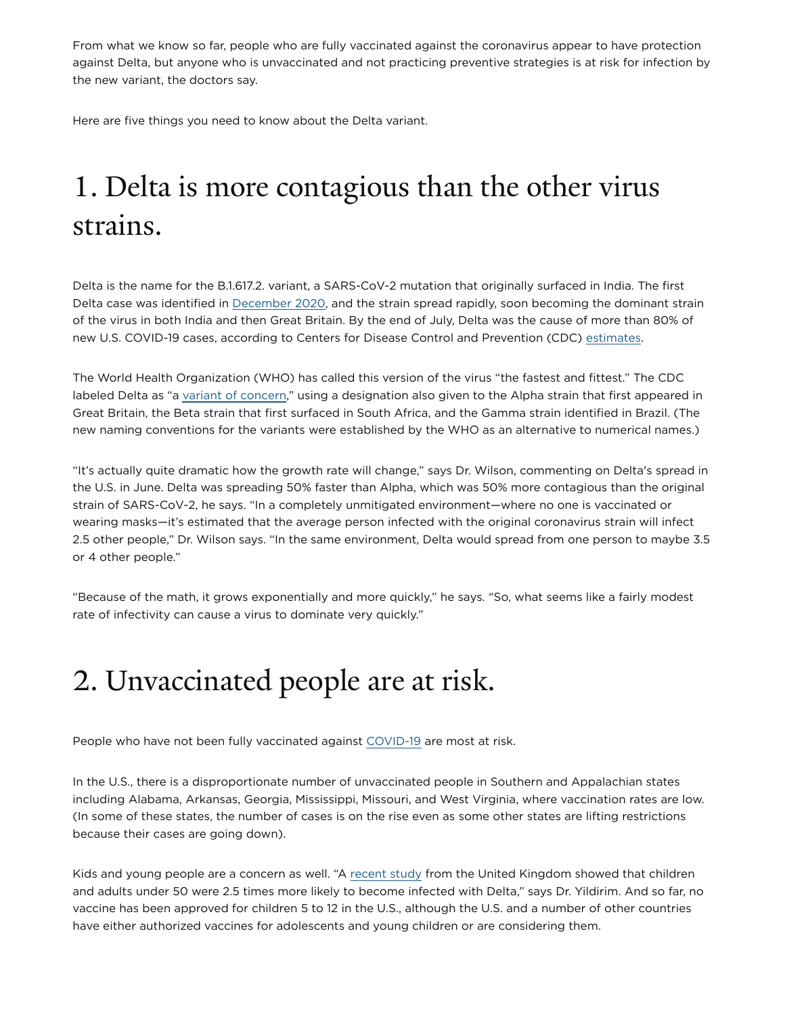From what we know so far, people who are fully vaccinated against the coronavirus appear to have protection against Delta, but anyone who is unvaccinated and not practicing preventive strategies is at risk for infection by the new variant, the doctors say.

Here are five things you need to know about the Delta variant.

# 1. Delta is more contagious than the other virus strains.

Delta is the name for the B.1.617.2. variant, a SARS-CoV-2 mutation that originally surfaced in India. The first Delta case was identified in December 2020, and the strain spread rapidly, soon becoming the dominant strain of the virus in both India and then Great Britain. By the end of July, Delta was the cause of more than 80% of newU.S. COVID-19 cases, according to Centers for Disease Control and Prevention (CDC) estimates.

The World Health Organization (WHO) has called this version of the virus "the fastest and fittest." The CDC labeledDelta as "a variant of concern," using a designation also given to the Alpha strain that first appeared in Great Britain, the Beta strain that first surfaced in South Africa, and the Gamma strain identified in Brazil. (The new naming conventions for the variants were established by the WHO as an alternative to numerical names.)

"It's actually quite dramatic how the growth rate will change," says Dr. Wilson, commenting on Delta's spread in the U.S. in June. Delta was spreading 50% faster than Alpha, which was 50% more contagious than the original strain of SARS-CoV-2, he says. "In a completely unmitigated environment—where no one is vaccinated or wearing masks—it's estimated that the average person infected with the original coronavirus strain will infect 2.5 other people," Dr. Wilson says. "In the same environment, Delta would spread from one person to maybe 3.5 or 4 other people."

"Because of the math, it grows exponentially and more quickly," he says. "So, what seems like a fairly modest rate of infectivity can cause a virus to dominate very quickly."

## 2. Unvaccinated people are at risk.

People who have not been fully vaccinated against COVID-19 are most at risk.

In the U.S., there is a disproportionate number of unvaccinated people in Southern and Appalachian states including Alabama, Arkansas, Georgia, Mississippi, Missouri, and West Virginia, where vaccination rates are low. (In some of these states, the number of cases is on the rise even as some other states are lifting restrictions because their cases are going down).

Kids and young people are a concern as well. "A recent study from the United Kingdom showed that children and adults under 50 were 2.5 times more likely to become infected with Delta," says Dr. Yildirim. And so far, no vaccine has been approved for children 5 to 12 in the U.S., although the U.S. and a number of other countries have either authorized vaccines for adolescents and young children or are considering them.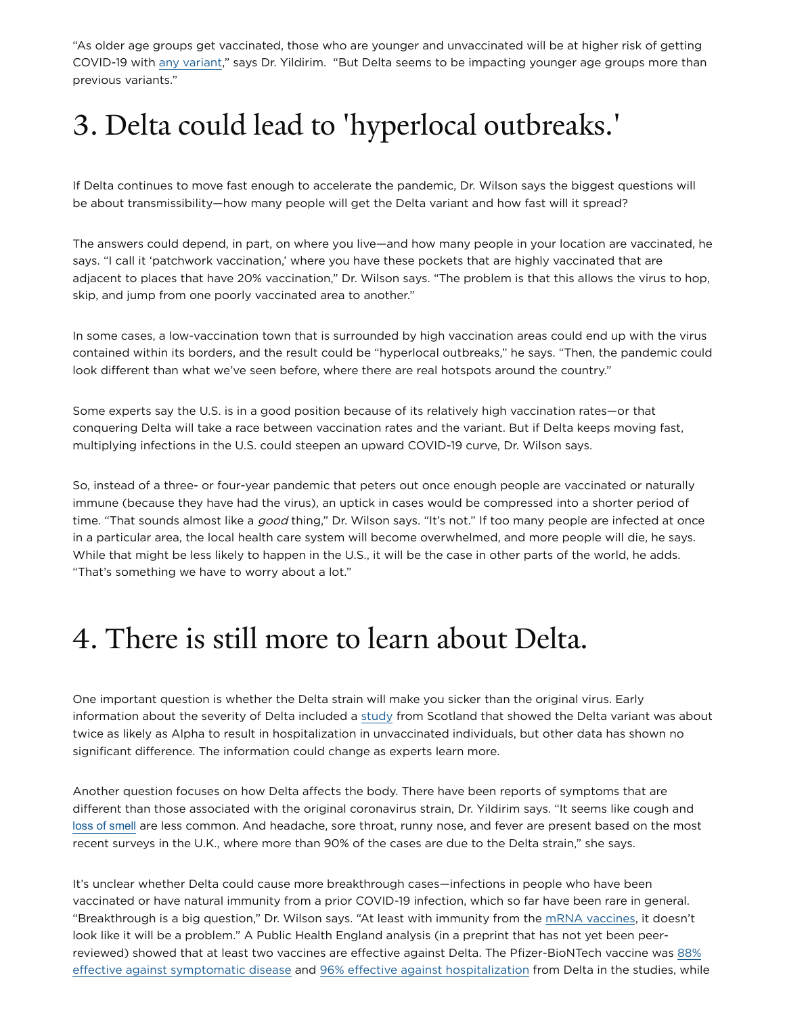"As older age groups get vaccinated, those who are younger and unvaccinated will be at higher risk of getting COVID-19with any variant," says Dr. Yildirim. "But Delta seems to be impacting younger age groups more than previous variants."

## 3. Delta could lead to 'hyperlocal outbreaks.'

If Delta continues to move fast enough to accelerate the pandemic, Dr. Wilson says the biggest questions will be about transmissibility—how many people will get the Delta variant and how fast will it spread?

The answers could depend, in part, on where you live—and how many people in your location are vaccinated, he says. "I call it 'patchwork vaccination,' where you have these pockets that are highly vaccinated that are adjacent to places that have 20% vaccination," Dr. Wilson says. "The problem is that this allows the virus to hop, skip, and jump from one poorly vaccinated area to another."

In some cases, a low-vaccination town that is surrounded by high vaccination areas could end up with the virus contained within its borders, and the result could be "hyperlocal outbreaks," he says. "Then, the pandemic could look different than what we've seen before, where there are real hotspots around the country."

Some experts say the U.S. is in a good position because of its relatively high vaccination rates—or that conquering Delta will take a race between vaccination rates and the variant. But if Delta keeps moving fast, multiplying infections in the U.S. could steepen an upward COVID-19 curve, Dr. Wilson says.

So, instead of a three- or four-year pandemic that peters out once enough people are vaccinated or naturally immune (because they have had the virus), an uptick in cases would be compressed into a shorter period of time. "That sounds almost like a good thing," Dr. Wilson says. "It's not." If too many people are infected at once in a particular area, the local health care system will become overwhelmed, and more people will die, he says. While that might be less likely to happen in the U.S., it will be the case in other parts of the world, he adds. "That's something we have to worry about a lot."

#### 4. There is still more to learn about Delta.

One important question is whether the Delta strain will make you sicker than the original virus. Early information about the severity of Delta included a study from Scotland that showed the Delta variant was about twice as likely as Alpha to result in hospitalization in unvaccinated individuals, but other data has shown no significant difference. The information could change as experts learn more.

Another question focuses on how Delta affects the body. There have been reports of symptoms that are different than those associated with the original coronavirus strain, Dr. Yildirim says. "It seems like cough and [loss of smell](https://www.yalemedicine.org/conditions/smell-and-taste-disorders) are less common. And headache, sore throat, runny nose, and fever are present based on the most recent surveys in the U.K., where more than 90% of the cases are due to the Delta strain," she says.

It's unclear whether Delta could cause more breakthrough cases—infections in people who have been vaccinated or have natural immunity from a prior COVID-19 infection, which so far have been rare in general. "Breakthrough is a big question[,](https://www.yalemedicine.org/news/covid-19-vaccine-comparison)" Dr. Wilson says. "At least with immunity from the mRNA vaccines, it doesn't look like it will be a problem." A Public Health England analysis (in a preprint that has not yet been peer[reviewed\) showed that at least two vaccines are effective against Delta. The Pfizer-BioNTech vaccine was](https://www.gov.uk/government/news/vaccines-highly-effective-against-b-1-617-2-variant-after-2-doses)  88% effective against symptomatic disease and 96% effective against hospitalization from Delta in the studies, while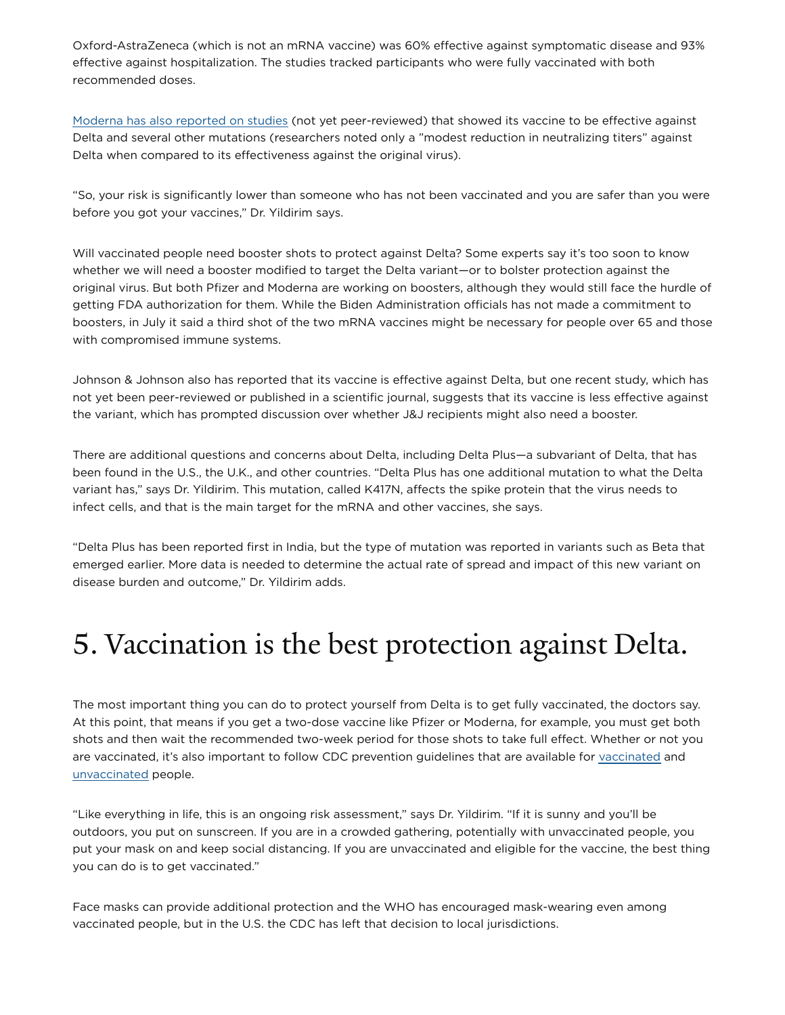Oxford-AstraZeneca (which is not an mRNA vaccine) was 60% effective against symptomatic disease and 93% effective against hospitalization. The studies tracked participants who were fully vaccinated with both recommended doses.

[Moderna has also reported on studies](https://nam12.safelinks.protection.outlook.com/?url=https%3A%2F%2Finvestors.modernatx.com%2Fnews-releases%2Fnews-release-details%2Fmoderna-provides-clinical-update-neutralizing-activity-its-covid&data=04%7C01%7Ckathy.katella-cofrancesco%40yale.edu%7Cea17bb4a5f9a49168d8008d93cb7ef18%7Cdd8cbebb21394df8b4114e3e87abeb5c%7C0%7C0%7C637607582946144464%7CUnknown%7CTWFpbGZsb3d8eyJWIjoiMC4wLjAwMDAiLCJQIjoiV2luMzIiLCJBTiI6Ik1haWwiLCJXVCI6Mn0%3D%7C1000&sdata=Zt72dlJ6M6pe8pNZoc%2B1jnnu5zTVQJkO%2Bolfxn8knyM%3D&reserved=0) (not yet peer-reviewed) that showed its vaccine to be effective against Delta and several other mutations (researchers noted only a "modest reduction in neutralizing titers" against Delta when compared to its effectiveness against the original virus).

"So, your risk is significantly lower than someone who has not been vaccinated and you are safer than you were before you got your vaccines," Dr. Yildirim says.

Will vaccinated people need booster shots to protect against Delta? Some experts say it's too soon to know whether we will need a booster modified to target the Delta variant—or to bolster protection against the original virus. But both Pfizer and Moderna are working on boosters, although they would still face the hurdle of getting FDA authorization for them. While the Biden Administration officials has not made a commitment to boosters, in July it said a third shot of the two mRNA vaccines might be necessary for people over 65 and those with compromised immune systems.

Johnson & Johnson also has reported that its vaccine is effective against Delta, but one recent study, which has not yet been peer-reviewed or published in a scientific journal, suggests that its vaccine is less effective against the variant, which has prompted discussion over whether J&J recipients might also need a booster.

There are additional questions and concerns about Delta, including Delta Plus—a subvariant of Delta, that has been found in the U.S., the U.K., and other countries. "Delta Plus has one additional mutation to what the Delta variant has," says Dr. Yildirim. This mutation, called K417N, affects the spike protein that the virus needs to infect cells, and that is the main target for the mRNA and other vaccines, she says.

"Delta Plus has been reported first in India, but the type of mutation was reported in variants such as Beta that emerged earlier. More data is needed to determine the actual rate of spread and impact of this new variant on disease burden and outcome," Dr. Yildirim adds.

#### 5. Vaccination is the best protection against Delta.

The most important thing you can do to protect yourself from Delta is to get fully vaccinated, the doctors say. At this point, that means if you get a two-dose vaccine like Pfizer or Moderna, for example, you must get both shots and then wait the recommended two-week period for those shots to take full effect. Whether or not you arevaccinated, it's also important to follow CDC prevention guidelines that are available for vaccinated and [unvaccinated](https://www.cdc.gov/coronavirus/2019-ncov/prevent-getting-sick/prevention.html) people.

"Like everything in life, this is an ongoing risk assessment," says Dr. Yildirim. "If it is sunny and you'll be outdoors, you put on sunscreen. If you are in a crowded gathering, potentially with unvaccinated people, you put your mask on and keep social distancing. If you are unvaccinated and eligible for the vaccine, the best thing you can do is to get vaccinated."

Face masks can provide additional protection and the WHO has encouraged mask-wearing even among vaccinated people, but in the U.S. the CDC has left that decision to local jurisdictions.